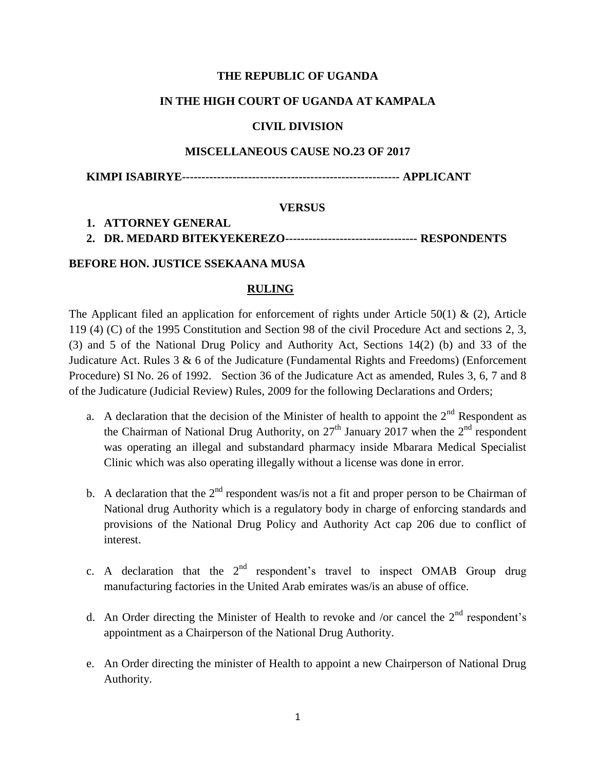## **THE REPUBLIC OF UGANDA**

## **IN THE HIGH COURT OF UGANDA AT KAMPALA**

#### **CIVIL DIVISION**

## **MISCELLANEOUS CAUSE NO.23 OF 2017**

#### **KIMPI ISABIRYE-------------------------------------------------------- APPLICANT**

#### **VERSUS**

#### **1. ATTORNEY GENERAL**

## **2. DR. MEDARD BITEKYEKEREZO---------------------------------- RESPONDENTS**

#### **BEFORE HON. JUSTICE SSEKAANA MUSA**

## **RULING**

The Applicant filed an application for enforcement of rights under Article 50(1)  $\&$  (2), Article 119 (4) (C) of the 1995 Constitution and Section 98 of the civil Procedure Act and sections 2, 3, (3) and 5 of the National Drug Policy and Authority Act, Sections 14(2) (b) and 33 of the Judicature Act. Rules 3 & 6 of the Judicature (Fundamental Rights and Freedoms) (Enforcement Procedure) SI No. 26 of 1992. Section 36 of the Judicature Act as amended, Rules 3, 6, 7 and 8 of the Judicature (Judicial Review) Rules, 2009 for the following Declarations and Orders;

- a. A declaration that the decision of the Minister of health to appoint the  $2<sup>nd</sup>$  Respondent as the Chairman of National Drug Authority, on  $27<sup>th</sup>$  January 2017 when the  $2<sup>nd</sup>$  respondent was operating an illegal and substandard pharmacy inside Mbarara Medical Specialist Clinic which was also operating illegally without a license was done in error.
- b. A declaration that the  $2<sup>nd</sup>$  respondent was/is not a fit and proper person to be Chairman of National drug Authority which is a regulatory body in charge of enforcing standards and provisions of the National Drug Policy and Authority Act cap 206 due to conflict of interest.
- c. A declaration that the  $2<sup>nd</sup>$  respondent's travel to inspect OMAB Group drug manufacturing factories in the United Arab emirates was/is an abuse of office.
- d. An Order directing the Minister of Health to revoke and /or cancel the  $2<sup>nd</sup>$  respondent's appointment as a Chairperson of the National Drug Authority.
- e. An Order directing the minister of Health to appoint a new Chairperson of National Drug Authority.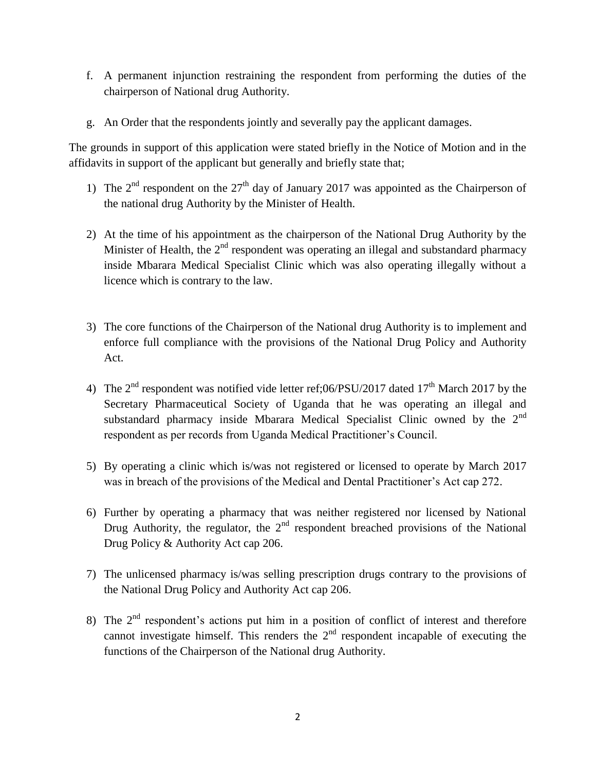- f. A permanent injunction restraining the respondent from performing the duties of the chairperson of National drug Authority.
- g. An Order that the respondents jointly and severally pay the applicant damages.

The grounds in support of this application were stated briefly in the Notice of Motion and in the affidavits in support of the applicant but generally and briefly state that;

- 1) The  $2<sup>nd</sup>$  respondent on the  $27<sup>th</sup>$  day of January 2017 was appointed as the Chairperson of the national drug Authority by the Minister of Health.
- 2) At the time of his appointment as the chairperson of the National Drug Authority by the Minister of Health, the  $2<sup>nd</sup>$  respondent was operating an illegal and substandard pharmacy inside Mbarara Medical Specialist Clinic which was also operating illegally without a licence which is contrary to the law.
- 3) The core functions of the Chairperson of the National drug Authority is to implement and enforce full compliance with the provisions of the National Drug Policy and Authority Act.
- 4) The 2<sup>nd</sup> respondent was notified vide letter ref;06/PSU/2017 dated 17<sup>th</sup> March 2017 by the Secretary Pharmaceutical Society of Uganda that he was operating an illegal and substandard pharmacy inside Mbarara Medical Specialist Clinic owned by the  $2<sup>nd</sup>$ respondent as per records from Uganda Medical Practitioner's Council.
- 5) By operating a clinic which is/was not registered or licensed to operate by March 2017 was in breach of the provisions of the Medical and Dental Practitioner's Act cap 272.
- 6) Further by operating a pharmacy that was neither registered nor licensed by National Drug Authority, the regulator, the  $2<sup>nd</sup>$  respondent breached provisions of the National Drug Policy & Authority Act cap 206.
- 7) The unlicensed pharmacy is/was selling prescription drugs contrary to the provisions of the National Drug Policy and Authority Act cap 206.
- 8) The  $2<sup>nd</sup>$  respondent's actions put him in a position of conflict of interest and therefore cannot investigate himself. This renders the  $2<sup>nd</sup>$  respondent incapable of executing the functions of the Chairperson of the National drug Authority.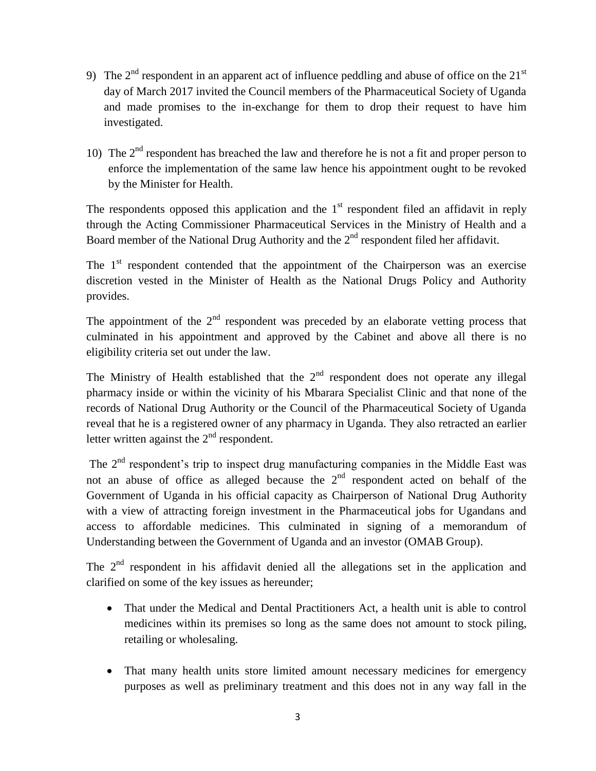- 9) The  $2<sup>nd</sup>$  respondent in an apparent act of influence peddling and abuse of office on the  $21<sup>st</sup>$ day of March 2017 invited the Council members of the Pharmaceutical Society of Uganda and made promises to the in-exchange for them to drop their request to have him investigated.
- 10) The  $2<sup>nd</sup>$  respondent has breached the law and therefore he is not a fit and proper person to enforce the implementation of the same law hence his appointment ought to be revoked by the Minister for Health.

The respondents opposed this application and the  $1<sup>st</sup>$  respondent filed an affidavit in reply through the Acting Commissioner Pharmaceutical Services in the Ministry of Health and a Board member of the National Drug Authority and the  $2<sup>nd</sup>$  respondent filed her affidavit.

The  $1<sup>st</sup>$  respondent contended that the appointment of the Chairperson was an exercise discretion vested in the Minister of Health as the National Drugs Policy and Authority provides.

The appointment of the  $2<sup>nd</sup>$  respondent was preceded by an elaborate vetting process that culminated in his appointment and approved by the Cabinet and above all there is no eligibility criteria set out under the law.

The Ministry of Health established that the  $2<sup>nd</sup>$  respondent does not operate any illegal pharmacy inside or within the vicinity of his Mbarara Specialist Clinic and that none of the records of National Drug Authority or the Council of the Pharmaceutical Society of Uganda reveal that he is a registered owner of any pharmacy in Uganda. They also retracted an earlier letter written against the  $2<sup>nd</sup>$  respondent.

The 2<sup>nd</sup> respondent's trip to inspect drug manufacturing companies in the Middle East was not an abuse of office as alleged because the  $2<sup>nd</sup>$  respondent acted on behalf of the Government of Uganda in his official capacity as Chairperson of National Drug Authority with a view of attracting foreign investment in the Pharmaceutical jobs for Ugandans and access to affordable medicines. This culminated in signing of a memorandum of Understanding between the Government of Uganda and an investor (OMAB Group).

The 2<sup>nd</sup> respondent in his affidavit denied all the allegations set in the application and clarified on some of the key issues as hereunder;

- That under the Medical and Dental Practitioners Act, a health unit is able to control medicines within its premises so long as the same does not amount to stock piling, retailing or wholesaling.
- That many health units store limited amount necessary medicines for emergency purposes as well as preliminary treatment and this does not in any way fall in the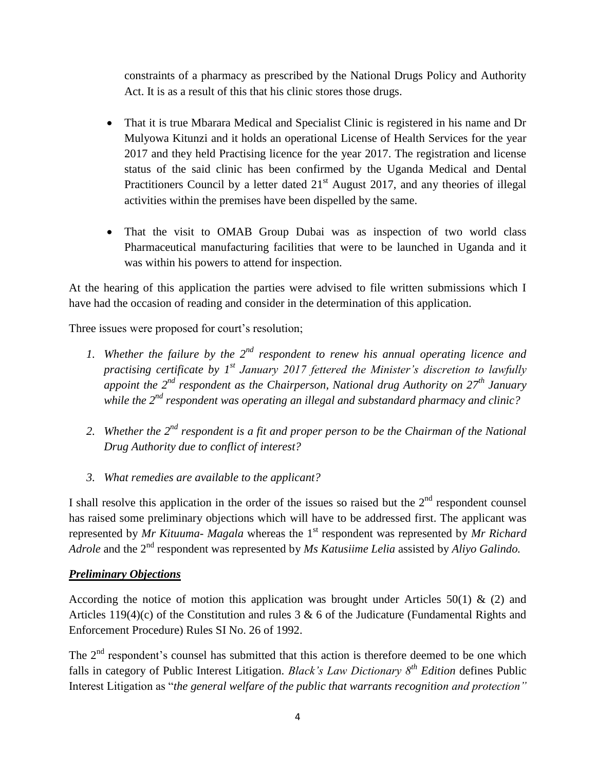constraints of a pharmacy as prescribed by the National Drugs Policy and Authority Act. It is as a result of this that his clinic stores those drugs.

- That it is true Mbarara Medical and Specialist Clinic is registered in his name and Dr Mulyowa Kitunzi and it holds an operational License of Health Services for the year 2017 and they held Practising licence for the year 2017. The registration and license status of the said clinic has been confirmed by the Uganda Medical and Dental Practitioners Council by a letter dated  $21<sup>st</sup>$  August 2017, and any theories of illegal activities within the premises have been dispelled by the same.
- That the visit to OMAB Group Dubai was as inspection of two world class Pharmaceutical manufacturing facilities that were to be launched in Uganda and it was within his powers to attend for inspection.

At the hearing of this application the parties were advised to file written submissions which I have had the occasion of reading and consider in the determination of this application.

Three issues were proposed for court's resolution;

- *1. Whether the failure by the 2nd respondent to renew his annual operating licence and practising certificate by 1st January 2017 fettered the Minister"s discretion to lawfully appoint the 2nd respondent as the Chairperson, National drug Authority on 27th January while the 2nd respondent was operating an illegal and substandard pharmacy and clinic?*
- 2. Whether the 2<sup>nd</sup> respondent is a fit and proper person to be the Chairman of the National *Drug Authority due to conflict of interest?*
- *3. What remedies are available to the applicant?*

I shall resolve this application in the order of the issues so raised but the  $2<sup>nd</sup>$  respondent counsel has raised some preliminary objections which will have to be addressed first. The applicant was represented by *Mr Kituuma- Magala* whereas the 1<sup>st</sup> respondent was represented by *Mr Richard Adrole* and the 2nd respondent was represented by *Ms Katusiime Lelia* assisted by *Aliyo Galindo.*

# *Preliminary Objections*

According the notice of motion this application was brought under Articles  $50(1)$  & (2) and Articles 119(4)(c) of the Constitution and rules 3  $\&$  6 of the Judicature (Fundamental Rights and Enforcement Procedure) Rules SI No. 26 of 1992.

The  $2<sup>nd</sup>$  respondent's counsel has submitted that this action is therefore deemed to be one which falls in category of Public Interest Litigation. *Black"s Law Dictionary 8th Edition* defines Public Interest Litigation as "*the general welfare of the public that warrants recognition and protection"*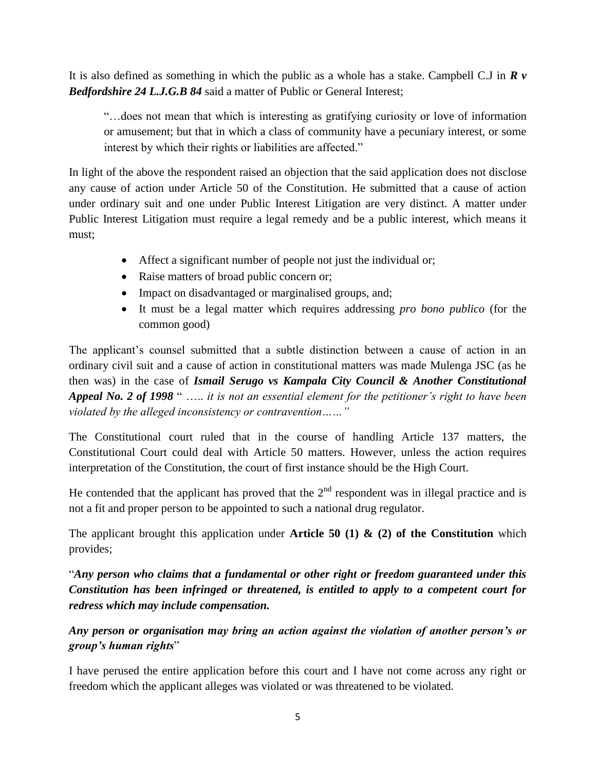It is also defined as something in which the public as a whole has a stake. Campbell C.J in *R v Bedfordshire 24 L.J.G.B 84* said a matter of Public or General Interest;

"…does not mean that which is interesting as gratifying curiosity or love of information or amusement; but that in which a class of community have a pecuniary interest, or some interest by which their rights or liabilities are affected."

In light of the above the respondent raised an objection that the said application does not disclose any cause of action under Article 50 of the Constitution. He submitted that a cause of action under ordinary suit and one under Public Interest Litigation are very distinct. A matter under Public Interest Litigation must require a legal remedy and be a public interest, which means it must;

- Affect a significant number of people not just the individual or;
- Raise matters of broad public concern or;
- Impact on disadvantaged or marginalised groups, and;
- It must be a legal matter which requires addressing *pro bono publico* (for the common good)

The applicant's counsel submitted that a subtle distinction between a cause of action in an ordinary civil suit and a cause of action in constitutional matters was made Mulenga JSC (as he then was) in the case of *Ismail Serugo vs Kampala City Council & Another Constitutional Appeal No. 2 of 1998* " ….. *it is not an essential element for the petitioner"s right to have been violated by the alleged inconsistency or contravention……"*

The Constitutional court ruled that in the course of handling Article 137 matters, the Constitutional Court could deal with Article 50 matters. However, unless the action requires interpretation of the Constitution, the court of first instance should be the High Court.

He contended that the applicant has proved that the  $2<sup>nd</sup>$  respondent was in illegal practice and is not a fit and proper person to be appointed to such a national drug regulator.

The applicant brought this application under **Article 50 (1) & (2) of the Constitution** which provides;

"*Any person who claims that a fundamental or other right or freedom guaranteed under this Constitution has been infringed or threatened, is entitled to apply to a competent court for redress which may include compensation.*

*Any person or organisation may bring an action against the violation of another person's or group's human rights*"

I have perused the entire application before this court and I have not come across any right or freedom which the applicant alleges was violated or was threatened to be violated.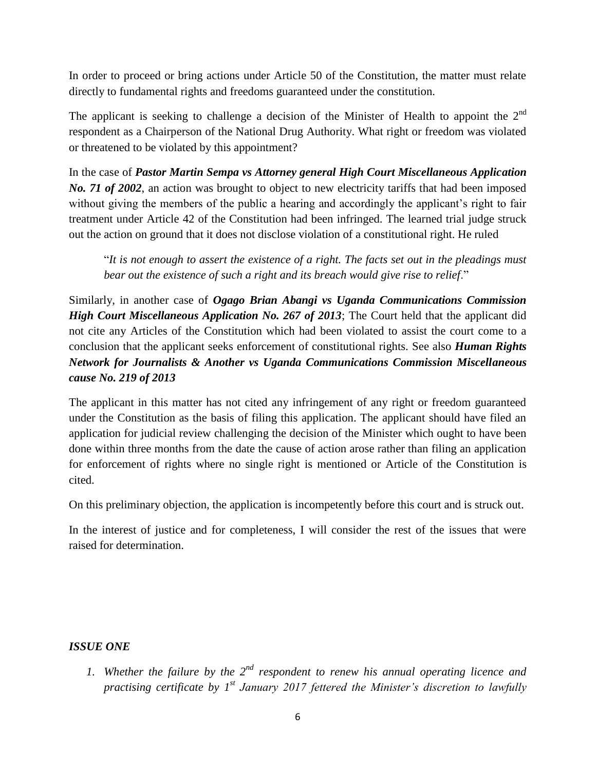In order to proceed or bring actions under Article 50 of the Constitution, the matter must relate directly to fundamental rights and freedoms guaranteed under the constitution.

The applicant is seeking to challenge a decision of the Minister of Health to appoint the  $2<sup>nd</sup>$ respondent as a Chairperson of the National Drug Authority. What right or freedom was violated or threatened to be violated by this appointment?

In the case of *Pastor Martin Sempa vs Attorney general High Court Miscellaneous Application No. 71 of 2002*, an action was brought to object to new electricity tariffs that had been imposed without giving the members of the public a hearing and accordingly the applicant's right to fair treatment under Article 42 of the Constitution had been infringed. The learned trial judge struck out the action on ground that it does not disclose violation of a constitutional right. He ruled

"*It is not enough to assert the existence of a right. The facts set out in the pleadings must bear out the existence of such a right and its breach would give rise to relief*."

Similarly, in another case of *Ogago Brian Abangi vs Uganda Communications Commission High Court Miscellaneous Application No. 267 of 2013*; The Court held that the applicant did not cite any Articles of the Constitution which had been violated to assist the court come to a conclusion that the applicant seeks enforcement of constitutional rights. See also *Human Rights Network for Journalists & Another vs Uganda Communications Commission Miscellaneous cause No. 219 of 2013* 

The applicant in this matter has not cited any infringement of any right or freedom guaranteed under the Constitution as the basis of filing this application. The applicant should have filed an application for judicial review challenging the decision of the Minister which ought to have been done within three months from the date the cause of action arose rather than filing an application for enforcement of rights where no single right is mentioned or Article of the Constitution is cited.

On this preliminary objection, the application is incompetently before this court and is struck out.

In the interest of justice and for completeness, I will consider the rest of the issues that were raised for determination.

# *ISSUE ONE*

*1. Whether the failure by the 2nd respondent to renew his annual operating licence and practising certificate by 1st January 2017 fettered the Minister"s discretion to lawfully*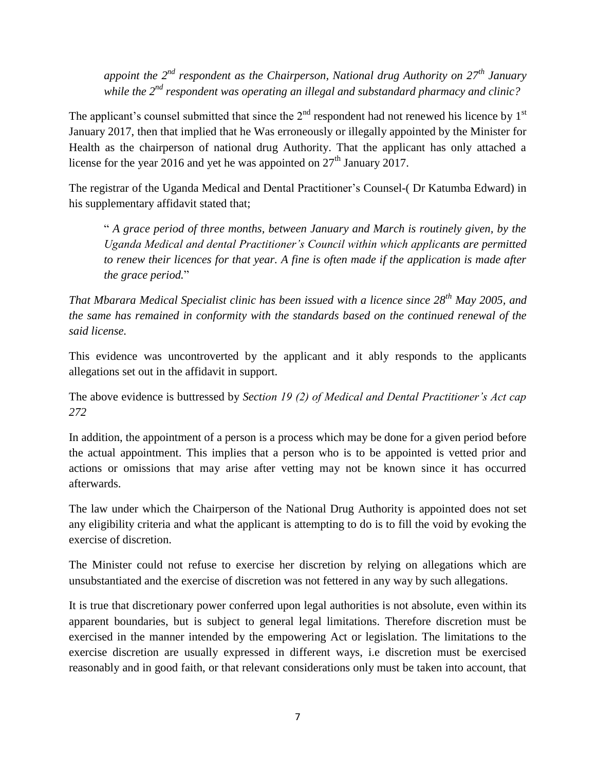*appoint the 2nd respondent as the Chairperson, National drug Authority on 27th January while the 2nd respondent was operating an illegal and substandard pharmacy and clinic?*

The applicant's counsel submitted that since the  $2<sup>nd</sup>$  respondent had not renewed his licence by  $1<sup>st</sup>$ January 2017, then that implied that he Was erroneously or illegally appointed by the Minister for Health as the chairperson of national drug Authority. That the applicant has only attached a license for the year 2016 and yet he was appointed on  $27<sup>th</sup>$  January 2017.

The registrar of the Uganda Medical and Dental Practitioner's Counsel-( Dr Katumba Edward) in his supplementary affidavit stated that;

" *A grace period of three months, between January and March is routinely given, by the Uganda Medical and dental Practitioner"s Council within which applicants are permitted to renew their licences for that year. A fine is often made if the application is made after the grace period.*"

*That Mbarara Medical Specialist clinic has been issued with a licence since 28th May 2005, and the same has remained in conformity with the standards based on the continued renewal of the said license.*

This evidence was uncontroverted by the applicant and it ably responds to the applicants allegations set out in the affidavit in support.

The above evidence is buttressed by *Section 19 (2) of Medical and Dental Practitioner"s Act cap 272*

In addition, the appointment of a person is a process which may be done for a given period before the actual appointment. This implies that a person who is to be appointed is vetted prior and actions or omissions that may arise after vetting may not be known since it has occurred afterwards.

The law under which the Chairperson of the National Drug Authority is appointed does not set any eligibility criteria and what the applicant is attempting to do is to fill the void by evoking the exercise of discretion.

The Minister could not refuse to exercise her discretion by relying on allegations which are unsubstantiated and the exercise of discretion was not fettered in any way by such allegations.

It is true that discretionary power conferred upon legal authorities is not absolute, even within its apparent boundaries, but is subject to general legal limitations. Therefore discretion must be exercised in the manner intended by the empowering Act or legislation. The limitations to the exercise discretion are usually expressed in different ways, i.e discretion must be exercised reasonably and in good faith, or that relevant considerations only must be taken into account, that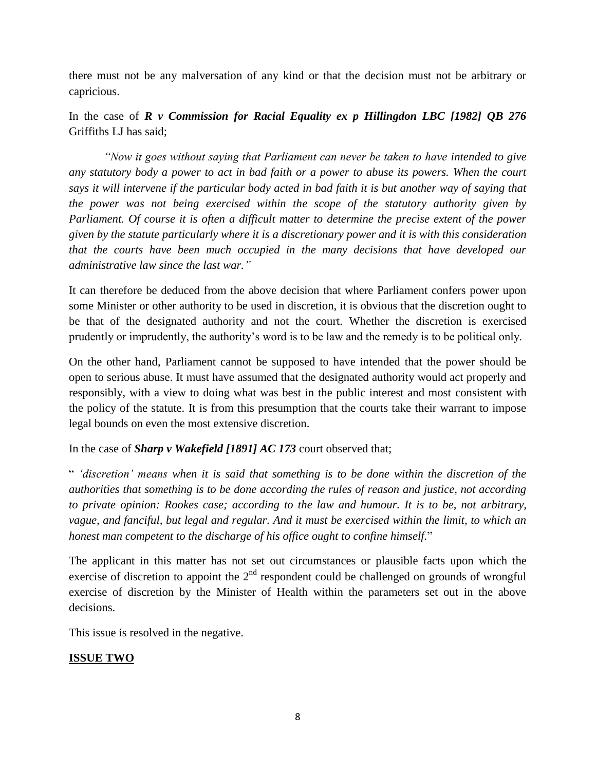there must not be any malversation of any kind or that the decision must not be arbitrary or capricious.

In the case of *R v Commission for Racial Equality ex p Hillingdon LBC [1982] QB 276* Griffiths LJ has said;

*"Now it goes without saying that Parliament can never be taken to have intended to give any statutory body a power to act in bad faith or a power to abuse its powers. When the court says it will intervene if the particular body acted in bad faith it is but another way of saying that the power was not being exercised within the scope of the statutory authority given by Parliament. Of course it is often a difficult matter to determine the precise extent of the power given by the statute particularly where it is a discretionary power and it is with this consideration that the courts have been much occupied in the many decisions that have developed our administrative law since the last war."*

It can therefore be deduced from the above decision that where Parliament confers power upon some Minister or other authority to be used in discretion, it is obvious that the discretion ought to be that of the designated authority and not the court. Whether the discretion is exercised prudently or imprudently, the authority's word is to be law and the remedy is to be political only.

On the other hand, Parliament cannot be supposed to have intended that the power should be open to serious abuse. It must have assumed that the designated authority would act properly and responsibly, with a view to doing what was best in the public interest and most consistent with the policy of the statute. It is from this presumption that the courts take their warrant to impose legal bounds on even the most extensive discretion.

In the case of *Sharp v Wakefield [1891] AC 173* court observed that;

" *"discretion" means when it is said that something is to be done within the discretion of the authorities that something is to be done according the rules of reason and justice, not according to private opinion: Rookes case; according to the law and humour. It is to be, not arbitrary, vague, and fanciful, but legal and regular. And it must be exercised within the limit, to which an honest man competent to the discharge of his office ought to confine himself.*"

The applicant in this matter has not set out circumstances or plausible facts upon which the exercise of discretion to appoint the  $2<sup>nd</sup>$  respondent could be challenged on grounds of wrongful exercise of discretion by the Minister of Health within the parameters set out in the above decisions.

This issue is resolved in the negative.

# **ISSUE TWO**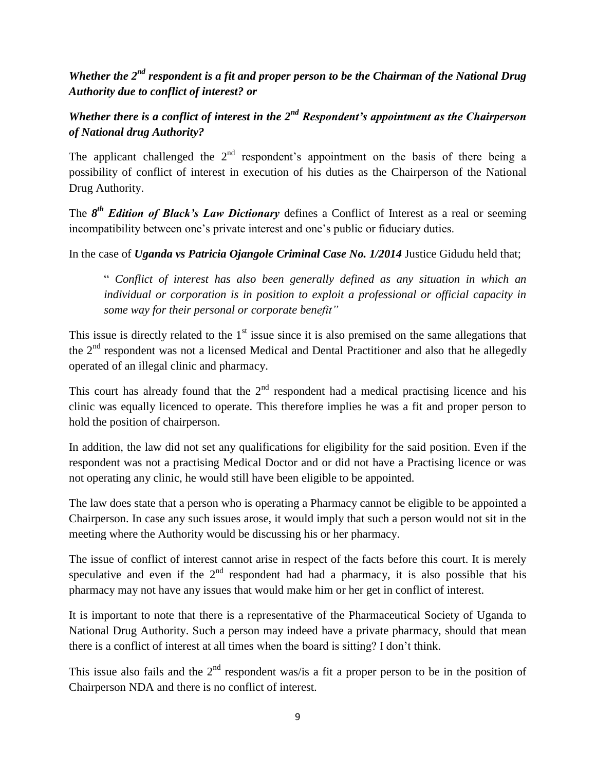*Whether the 2nd respondent is a fit and proper person to be the Chairman of the National Drug Authority due to conflict of interest? or*

# *Whether there is a conflict of interest in the 2nd Respondent's appointment as the Chairperson of National drug Authority?*

The applicant challenged the  $2<sup>nd</sup>$  respondent's appointment on the basis of there being a possibility of conflict of interest in execution of his duties as the Chairperson of the National Drug Authority.

The *8<sup>th</sup> Edition of Black's Law Dictionary* defines a Conflict of Interest as a real or seeming incompatibility between one's private interest and one's public or fiduciary duties.

In the case of *Uganda vs Patricia Ojangole Criminal Case No. 1/2014* Justice Gidudu held that;

" *Conflict of interest has also been generally defined as any situation in which an individual or corporation is in position to exploit a professional or official capacity in some way for their personal or corporate benefit"*

This issue is directly related to the  $1<sup>st</sup>$  issue since it is also premised on the same allegations that the  $2<sup>nd</sup>$  respondent was not a licensed Medical and Dental Practitioner and also that he allegedly operated of an illegal clinic and pharmacy.

This court has already found that the  $2<sup>nd</sup>$  respondent had a medical practising licence and his clinic was equally licenced to operate. This therefore implies he was a fit and proper person to hold the position of chairperson.

In addition, the law did not set any qualifications for eligibility for the said position. Even if the respondent was not a practising Medical Doctor and or did not have a Practising licence or was not operating any clinic, he would still have been eligible to be appointed.

The law does state that a person who is operating a Pharmacy cannot be eligible to be appointed a Chairperson. In case any such issues arose, it would imply that such a person would not sit in the meeting where the Authority would be discussing his or her pharmacy.

The issue of conflict of interest cannot arise in respect of the facts before this court. It is merely speculative and even if the  $2<sup>nd</sup>$  respondent had had a pharmacy, it is also possible that his pharmacy may not have any issues that would make him or her get in conflict of interest.

It is important to note that there is a representative of the Pharmaceutical Society of Uganda to National Drug Authority. Such a person may indeed have a private pharmacy, should that mean there is a conflict of interest at all times when the board is sitting? I don't think.

This issue also fails and the  $2<sup>nd</sup>$  respondent was/is a fit a proper person to be in the position of Chairperson NDA and there is no conflict of interest.